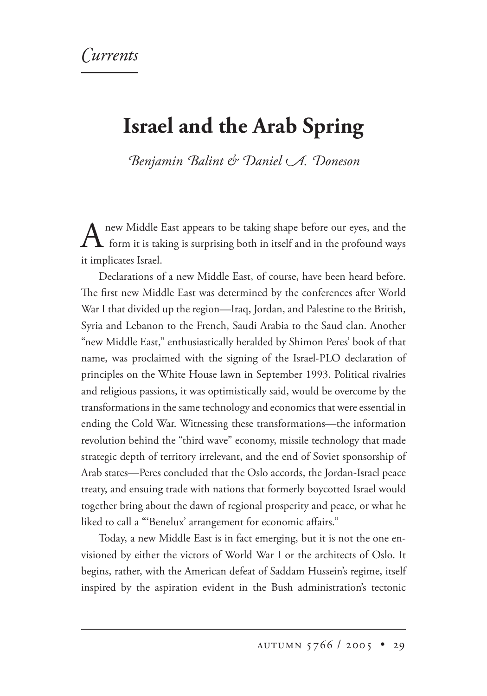## **Israel and the Arab Spring**

*Benjamin Balint & Daniel A. Doneson* 

A new Middle East appears to be taking shape before our eyes, and the form it is taking is surprising both in itself and in the profound ways it implicates Israel.

Declarations of a new Middle East, of course, have been heard before. The first new Middle East was determined by the conferences after World War I that divided up the region—Iraq, Jordan, and Palestine to the British, Syria and Lebanon to the French, Saudi Arabia to the Saud clan. Another "new Middle East," enthusiastically heralded by Shimon Peres' book of that name, was proclaimed with the signing of the Israel-PLO declaration of principles on the White House lawn in September 1993. Political rivalries and religious passions, it was optimistically said, would be overcome by the transformations in the same technology and economics that were essential in ending the Cold War. Witnessing these transformations—the information revolution behind the "third wave" economy, missile technology that made strategic depth of territory irrelevant, and the end of Soviet sponsorship of Arab states—Peres concluded that the Oslo accords, the Jordan-Israel peace treaty, and ensuing trade with nations that formerly boycotted Israel would together bring about the dawn of regional prosperity and peace, or what he liked to call a "'Benelux' arrangement for economic affairs."

Today, a new Middle East is in fact emerging, but it is not the one envisioned by either the victors of World War I or the architects of Oslo. It begins, rather, with the American defeat of Saddam Hussein's regime, itself inspired by the aspiration evident in the Bush administration's tectonic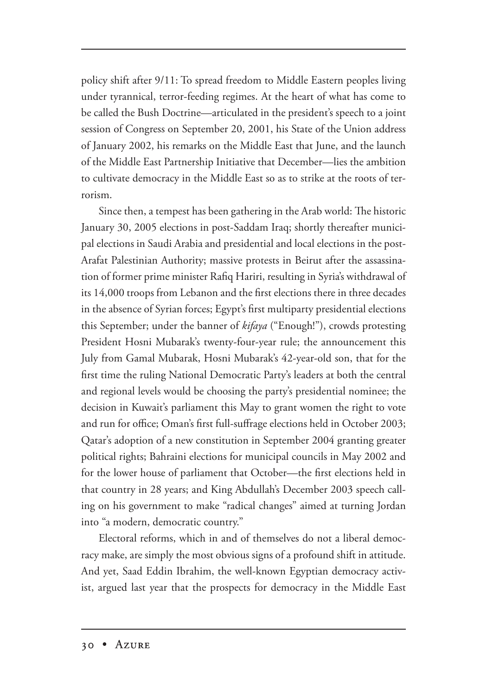policy shift after 9/11: To spread freedom to Middle Eastern peoples living under tyrannical, terror-feeding regimes. At the heart of what has come to be called the Bush Doctrine—articulated in the president's speech to a joint session of Congress on September 20, 2001, his State of the Union address of January 2002, his remarks on the Middle East that June, and the launch of the Middle East Partnership Initiative that December—lies the ambition to cultivate democracy in the Middle East so as to strike at the roots of terrorism.

Since then, a tempest has been gathering in the Arab world: The historic January 30, 2005 elections in post-Saddam Iraq; shortly thereafter municipal elections in Saudi Arabia and presidential and local elections in the post-Arafat Palestinian Authority; massive protests in Beirut after the assassination of former prime minister Rafiq Hariri, resulting in Syria's withdrawal of its 14,000 troops from Lebanon and the first elections there in three decades in the absence of Syrian forces; Egypt's first multiparty presidential elections this September; under the banner of *kifaya* ("Enough!"), crowds protesting President Hosni Mubarak's twenty-four-year rule; the announcement this July from Gamal Mubarak, Hosni Mubarak's 42-year-old son, that for the first time the ruling National Democratic Party's leaders at both the central and regional levels would be choosing the party's presidential nominee; the decision in Kuwait's parliament this May to grant women the right to vote and run for office; Oman's first full-suffrage elections held in October 2003; Qatar's adoption of a new constitution in September 2004 granting greater political rights; Bahraini elections for municipal councils in May 2002 and for the lower house of parliament that October—the first elections held in that country in 28 years; and King Abdullah's December 2003 speech calling on his government to make "radical changes" aimed at turning Jordan into "a modern, democratic country."

Electoral reforms, which in and of themselves do not a liberal democracy make, are simply the most obvious signs of a profound shift in attitude. And yet, Saad Eddin Ibrahim, the well-known Egyptian democracy activist, argued last year that the prospects for democracy in the Middle East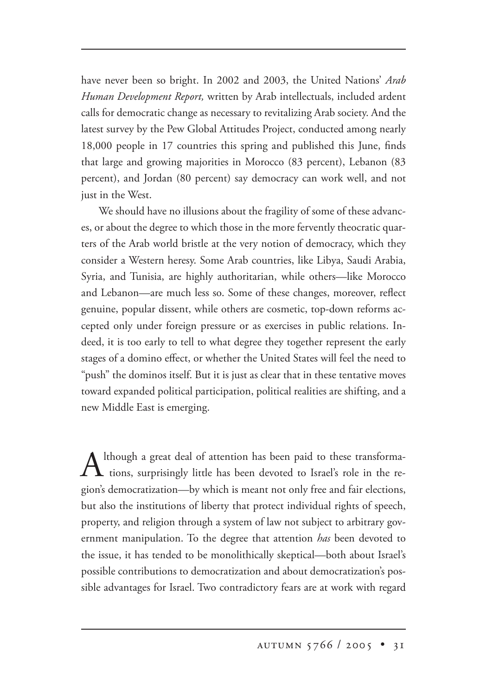have never been so bright. In 2002 and 2003, the United Nations' *Arab Human Development Report,* written by Arab intellectuals, included ardent calls for democratic change as necessary to revitalizing Arab society. And the latest survey by the Pew Global Attitudes Project, conducted among nearly 18,000 people in 17 countries this spring and published this June, finds that large and growing majorities in Morocco (83 percent), Lebanon (83 percent), and Jordan (80 percent) say democracy can work well, and not just in the West.

We should have no illusions about the fragility of some of these advances, or about the degree to which those in the more fervently theocratic quarters of the Arab world bristle at the very notion of democracy, which they consider a Western heresy. Some Arab countries, like Libya, Saudi Arabia, Syria, and Tunisia, are highly authoritarian, while others—like Morocco and Lebanon—are much less so. Some of these changes, moreover, reflect genuine, popular dissent, while others are cosmetic, top-down reforms accepted only under foreign pressure or as exercises in public relations. Indeed, it is too early to tell to what degree they together represent the early stages of a domino effect, or whether the United States will feel the need to "push" the dominos itself. But it is just as clear that in these tentative moves toward expanded political participation, political realities are shifting, and a new Middle East is emerging.

Although a great deal of attention has been paid to these transforma-<br>tions, surprisingly little has been devoted to Israel's role in the region's democratization—by which is meant not only free and fair elections, but also the institutions of liberty that protect individual rights of speech, property, and religion through a system of law not subject to arbitrary government manipulation. To the degree that attention *has* been devoted to the issue, it has tended to be monolithically skeptical—both about Israel's possible contributions to democratization and about democratization's possible advantages for Israel. Two contradictory fears are at work with regard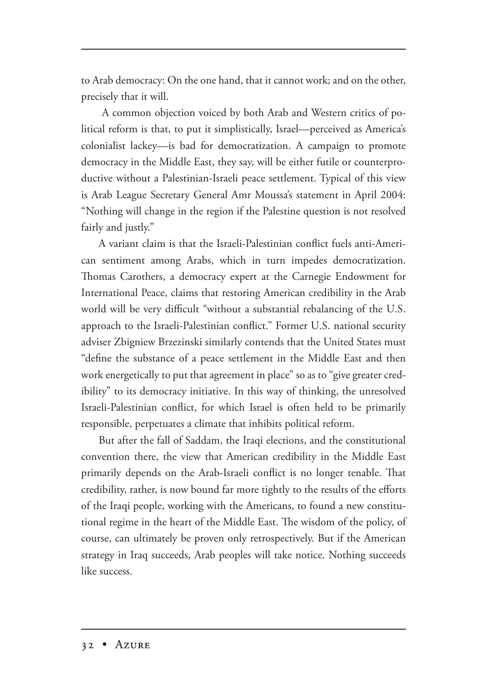to Arab democracy: On the one hand, that it cannot work; and on the other, precisely that it will.

 A common objection voiced by both Arab and Western critics of political reform is that, to put it simplistically, Israel—perceived as America's colonialist lackey—is bad for democratization. A campaign to promote democracy in the Middle East, they say, will be either futile or counterproductive without a Palestinian-Israeli peace settlement. Typical of this view is Arab League Secretary General Amr Moussa's statement in April 2004: "Nothing will change in the region if the Palestine question is not resolved fairly and justly."

A variant claim is that the Israeli-Palestinian conflict fuels anti-American sentiment among Arabs, which in turn impedes democratization. Thomas Carothers, a democracy expert at the Carnegie Endowment for International Peace, claims that restoring American credibility in the Arab world will be very difficult "without a substantial rebalancing of the U.S. approach to the Israeli-Palestinian conflict." Former U.S. national security adviser Zbigniew Brzezinski similarly contends that the United States must "define the substance of a peace settlement in the Middle East and then work energetically to put that agreement in place" so as to "give greater credibility" to its democracy initiative. In this way of thinking, the unresolved Israeli-Palestinian conflict, for which Israel is often held to be primarily responsible, perpetuates a climate that inhibits political reform.

But after the fall of Saddam, the Iraqi elections, and the constitutional convention there, the view that American credibility in the Middle East primarily depends on the Arab-Israeli conflict is no longer tenable. That credibility, rather, is now bound far more tightly to the results of the efforts of the Iraqi people, working with the Americans, to found a new constitutional regime in the heart of the Middle East. The wisdom of the policy, of course, can ultimately be proven only retrospectively. But if the American strategy in Iraq succeeds, Arab peoples will take notice. Nothing succeeds like success.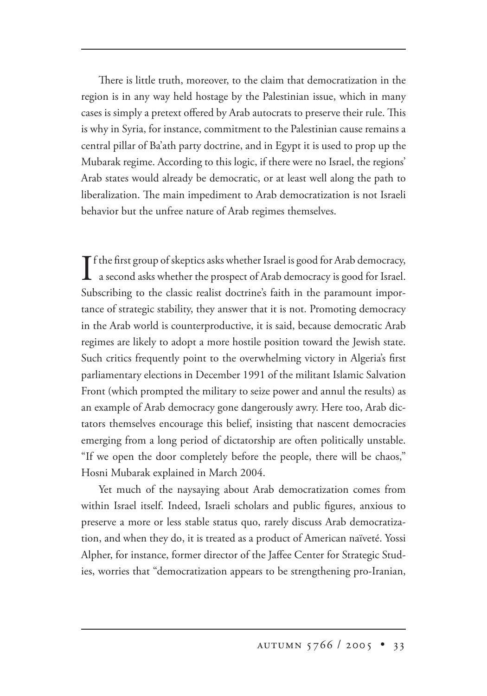There is little truth, moreover, to the claim that democratization in the region is in any way held hostage by the Palestinian issue, which in many cases is simply a pretext offered by Arab autocrats to preserve their rule. This is why in Syria, for instance, commitment to the Palestinian cause remains a central pillar of Ba'ath party doctrine, and in Egypt it is used to prop up the Mubarak regime. According to this logic, if there were no Israel, the regions' Arab states would already be democratic, or at least well along the path to liberalization. The main impediment to Arab democratization is not Israeli behavior but the unfree nature of Arab regimes themselves.

If the first group of skeptics asks whether Israel is good for Arab democracy,<br>a second asks whether the prospect of Arab democracy is good for Israel. a second asks whether the prospect of Arab democracy is good for Israel. Subscribing to the classic realist doctrine's faith in the paramount importance of strategic stability, they answer that it is not. Promoting democracy in the Arab world is counterproductive, it is said, because democratic Arab regimes are likely to adopt a more hostile position toward the Jewish state. Such critics frequently point to the overwhelming victory in Algeria's first parliamentary elections in December 1991 of the militant Islamic Salvation Front (which prompted the military to seize power and annul the results) as an example of Arab democracy gone dangerously awry. Here too, Arab dictators themselves encourage this belief, insisting that nascent democracies emerging from a long period of dictatorship are often politically unstable. "If we open the door completely before the people, there will be chaos," Hosni Mubarak explained in March 2004.

Yet much of the naysaying about Arab democratization comes from within Israel itself. Indeed, Israeli scholars and public figures, anxious to preserve a more or less stable status quo, rarely discuss Arab democratization, and when they do, it is treated as a product of American naïveté. Yossi Alpher, for instance, former director of the Jaffee Center for Strategic Studies, worries that "democratization appears to be strengthening pro-Iranian,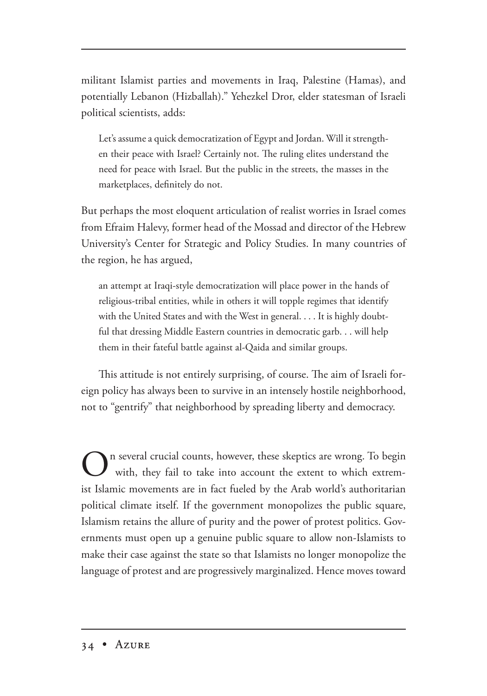militant Islamist parties and movements in Iraq, Palestine (Hamas), and potentially Lebanon (Hizballah)." Yehezkel Dror, elder statesman of Israeli political scientists, adds:

Let's assume a quick democratization of Egypt and Jordan. Will it strengthen their peace with Israel? Certainly not. The ruling elites understand the need for peace with Israel. But the public in the streets, the masses in the marketplaces, definitely do not.

But perhaps the most eloquent articulation of realist worries in Israel comes from Efraim Halevy, former head of the Mossad and director of the Hebrew University's Center for Strategic and Policy Studies. In many countries of the region, he has argued,

an attempt at Iraqi-style democratization will place power in the hands of religious-tribal entities, while in others it will topple regimes that identify with the United States and with the West in general. . . . It is highly doubtful that dressing Middle Eastern countries in democratic garb. . . will help them in their fateful battle against al-Qaida and similar groups.

This attitude is not entirely surprising, of course. The aim of Israeli foreign policy has always been to survive in an intensely hostile neighborhood, not to "gentrify" that neighborhood by spreading liberty and democracy.

 $\sum$ <sup>n</sup> several crucial counts, however, these skeptics are wrong. To begin with, they fail to take into account the extent to which extremist Islamic movements are in fact fueled by the Arab world's authoritarian political climate itself. If the government monopolizes the public square, Islamism retains the allure of purity and the power of protest politics. Governments must open up a genuine public square to allow non-Islamists to make their case against the state so that Islamists no longer monopolize the language of protest and are progressively marginalized. Hence moves toward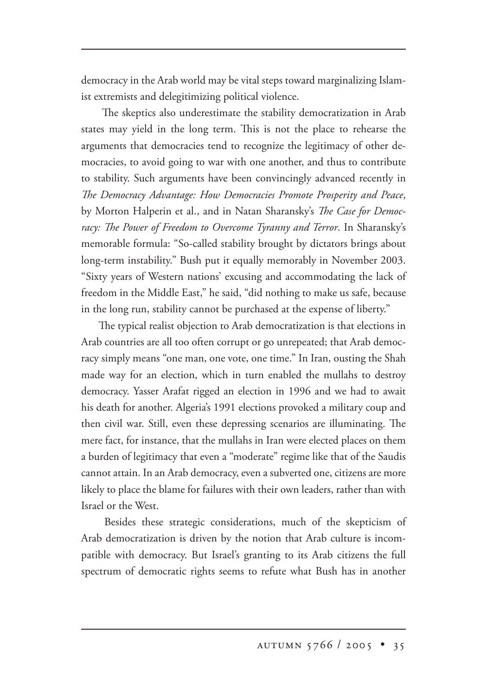democracy in the Arab world may be vital steps toward marginalizing Islamist extremists and delegitimizing political violence.

The skeptics also underestimate the stability democratization in Arab states may yield in the long term. This is not the place to rehearse the arguments that democracies tend to recognize the legitimacy of other democracies, to avoid going to war with one another, and thus to contribute to stability. Such arguments have been convincingly advanced recently in *e Democracy Advantage: How Democracies Promote Prosperity and Peace*, by Morton Halperin et al., and in Natan Sharansky's *The Case for Democ*racy: The Power of Freedom to Overcome Tyranny and Terror. In Sharansky's memorable formula: "So-called stability brought by dictators brings about long-term instability." Bush put it equally memorably in November 2003. "Sixty years of Western nations' excusing and accommodating the lack of freedom in the Middle East," he said, "did nothing to make us safe, because in the long run, stability cannot be purchased at the expense of liberty."

The typical realist objection to Arab democratization is that elections in Arab countries are all too often corrupt or go unrepeated; that Arab democracy simply means "one man, one vote, one time." In Iran, ousting the Shah made way for an election, which in turn enabled the mullahs to destroy democracy. Yasser Arafat rigged an election in 1996 and we had to await his death for another. Algeria's 1991 elections provoked a military coup and then civil war. Still, even these depressing scenarios are illuminating. The mere fact, for instance, that the mullahs in Iran were elected places on them a burden of legitimacy that even a "moderate" regime like that of the Saudis cannot attain. In an Arab democracy, even a subverted one, citizens are more likely to place the blame for failures with their own leaders, rather than with Israel or the West.

 Besides these strategic considerations, much of the skepticism of Arab democratization is driven by the notion that Arab culture is incompatible with democracy. But Israel's granting to its Arab citizens the full spectrum of democratic rights seems to refute what Bush has in another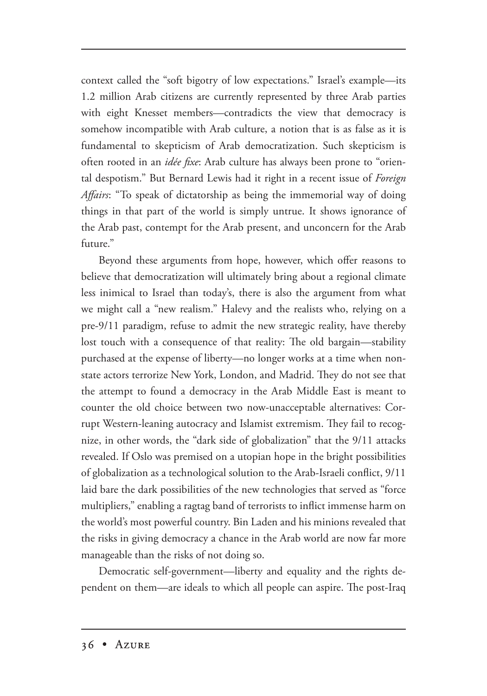context called the "soft bigotry of low expectations." Israel's example—its 1.2 million Arab citizens are currently represented by three Arab parties with eight Knesset members—contradicts the view that democracy is somehow incompatible with Arab culture, a notion that is as false as it is fundamental to skepticism of Arab democratization. Such skepticism is often rooted in an *idée fixe*: Arab culture has always been prone to "oriental despotism." But Bernard Lewis had it right in a recent issue of *Foreign Affairs*: "To speak of dictatorship as being the immemorial way of doing things in that part of the world is simply untrue. It shows ignorance of the Arab past, contempt for the Arab present, and unconcern for the Arab future."

Beyond these arguments from hope, however, which offer reasons to believe that democratization will ultimately bring about a regional climate less inimical to Israel than today's, there is also the argument from what we might call a "new realism." Halevy and the realists who, relying on a pre-9/11 paradigm, refuse to admit the new strategic reality, have thereby lost touch with a consequence of that reality: The old bargain—stability purchased at the expense of liberty—no longer works at a time when nonstate actors terrorize New York, London, and Madrid. They do not see that the attempt to found a democracy in the Arab Middle East is meant to counter the old choice between two now-unacceptable alternatives: Corrupt Western-leaning autocracy and Islamist extremism. They fail to recognize, in other words, the "dark side of globalization" that the 9/11 attacks revealed. If Oslo was premised on a utopian hope in the bright possibilities of globalization as a technological solution to the Arab-Israeli conflict, 9/11 laid bare the dark possibilities of the new technologies that served as "force multipliers," enabling a ragtag band of terrorists to inflict immense harm on the world's most powerful country. Bin Laden and his minions revealed that the risks in giving democracy a chance in the Arab world are now far more manageable than the risks of not doing so.

Democratic self-government—liberty and equality and the rights dependent on them—are ideals to which all people can aspire. The post-Iraq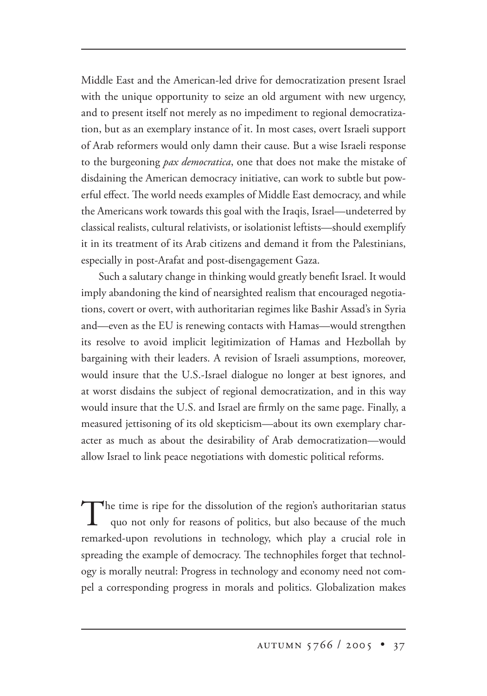Middle East and the American-led drive for democratization present Israel with the unique opportunity to seize an old argument with new urgency, and to present itself not merely as no impediment to regional democratization, but as an exemplary instance of it. In most cases, overt Israeli support of Arab reformers would only damn their cause. But a wise Israeli response to the burgeoning *pax democratica*, one that does not make the mistake of disdaining the American democracy initiative, can work to subtle but powerful effect. The world needs examples of Middle East democracy, and while the Americans work towards this goal with the Iraqis, Israel—undeterred by classical realists, cultural relativists, or isolationist leftists—should exemplify it in its treatment of its Arab citizens and demand it from the Palestinians, especially in post-Arafat and post-disengagement Gaza.

Such a salutary change in thinking would greatly benefit Israel. It would imply abandoning the kind of nearsighted realism that encouraged negotiations, covert or overt, with authoritarian regimes like Bashir Assad's in Syria and—even as the EU is renewing contacts with Hamas—would strengthen its resolve to avoid implicit legitimization of Hamas and Hezbollah by bargaining with their leaders. A revision of Israeli assumptions, moreover, would insure that the U.S.-Israel dialogue no longer at best ignores, and at worst disdains the subject of regional democratization, and in this way would insure that the U.S. and Israel are firmly on the same page. Finally, a measured jettisoning of its old skepticism—about its own exemplary character as much as about the desirability of Arab democratization—would allow Israel to link peace negotiations with domestic political reforms.

The time is ripe for the dissolution of the region's authoritarian status quo not only for reasons of politics, but also because of the much remarked-upon revolutions in technology, which play a crucial role in spreading the example of democracy. The technophiles forget that technology is morally neutral: Progress in technology and economy need not compel a corresponding progress in morals and politics. Globalization makes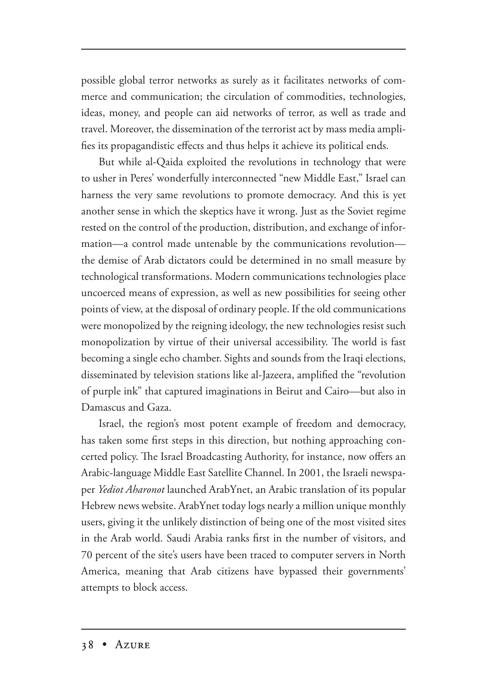possible global terror networks as surely as it facilitates networks of commerce and communication; the circulation of commodities, technologies, ideas, money, and people can aid networks of terror, as well as trade and travel. Moreover, the dissemination of the terrorist act by mass media amplifies its propagandistic effects and thus helps it achieve its political ends.

But while al-Qaida exploited the revolutions in technology that were to usher in Peres' wonderfully interconnected "new Middle East," Israel can harness the very same revolutions to promote democracy. And this is yet another sense in which the skeptics have it wrong. Just as the Soviet regime rested on the control of the production, distribution, and exchange of information—a control made untenable by the communications revolution the demise of Arab dictators could be determined in no small measure by technological transformations. Modern communications technologies place uncoerced means of expression, as well as new possibilities for seeing other points of view, at the disposal of ordinary people. If the old communications were monopolized by the reigning ideology, the new technologies resist such monopolization by virtue of their universal accessibility. The world is fast becoming a single echo chamber. Sights and sounds from the Iraqi elections, disseminated by television stations like al-Jazeera, amplified the "revolution of purple ink" that captured imaginations in Beirut and Cairo—but also in Damascus and Gaza.

Israel, the region's most potent example of freedom and democracy, has taken some first steps in this direction, but nothing approaching concerted policy. The Israel Broadcasting Authority, for instance, now offers an Arabic-language Middle East Satellite Channel. In 2001, the Israeli newspaper *Yediot Aharonot* launched ArabYnet, an Arabic translation of its popular Hebrew news website. ArabYnet today logs nearly a million unique monthly users, giving it the unlikely distinction of being one of the most visited sites in the Arab world. Saudi Arabia ranks first in the number of visitors, and 70 percent of the site's users have been traced to computer servers in North America, meaning that Arab citizens have bypassed their governments' attempts to block access.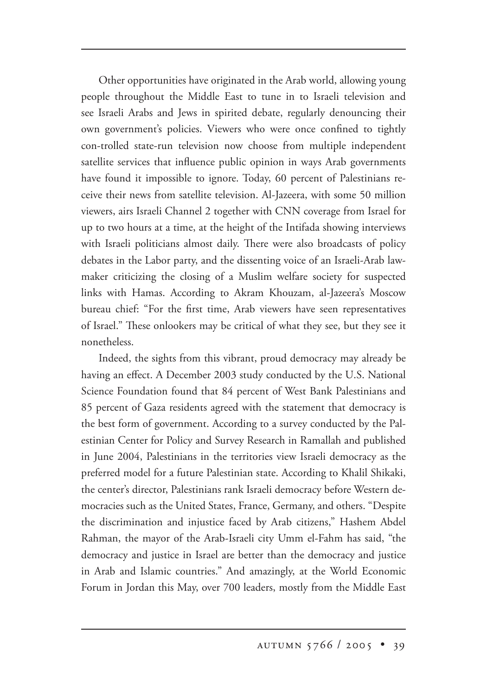Other opportunities have originated in the Arab world, allowing young people throughout the Middle East to tune in to Israeli television and see Israeli Arabs and Jews in spirited debate, regularly denouncing their own government's policies. Viewers who were once confined to tightly con-trolled state-run television now choose from multiple independent satellite services that influence public opinion in ways Arab governments have found it impossible to ignore. Today, 60 percent of Palestinians receive their news from satellite television. Al-Jazeera, with some 50 million viewers, airs Israeli Channel 2 together with CNN coverage from Israel for up to two hours at a time, at the height of the Intifada showing interviews with Israeli politicians almost daily. There were also broadcasts of policy debates in the Labor party, and the dissenting voice of an Israeli-Arab lawmaker criticizing the closing of a Muslim welfare society for suspected links with Hamas. According to Akram Khouzam, al-Jazeera's Moscow bureau chief: "For the first time, Arab viewers have seen representatives of Israel." These onlookers may be critical of what they see, but they see it nonetheless.

Indeed, the sights from this vibrant, proud democracy may already be having an effect. A December 2003 study conducted by the U.S. National Science Foundation found that 84 percent of West Bank Palestinians and 85 percent of Gaza residents agreed with the statement that democracy is the best form of government. According to a survey conducted by the Palestinian Center for Policy and Survey Research in Ramallah and published in June 2004, Palestinians in the territories view Israeli democracy as the preferred model for a future Palestinian state. According to Khalil Shikaki, the center's director, Palestinians rank Israeli democracy before Western democracies such as the United States, France, Germany, and others. "Despite the discrimination and injustice faced by Arab citizens," Hashem Abdel Rahman, the mayor of the Arab-Israeli city Umm el-Fahm has said, "the democracy and justice in Israel are better than the democracy and justice in Arab and Islamic countries." And amazingly, at the World Economic Forum in Jordan this May, over 700 leaders, mostly from the Middle East